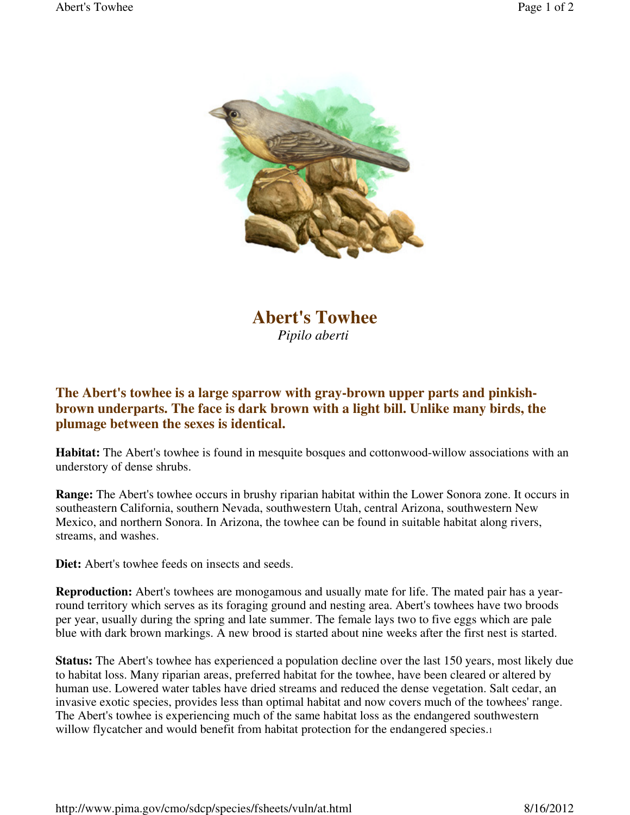

**Abert's Towhee**  *Pipilo aberti*

## **The Abert's towhee is a large sparrow with gray-brown upper parts and pinkishbrown underparts. The face is dark brown with a light bill. Unlike many birds, the plumage between the sexes is identical.**

**Habitat:** The Abert's towhee is found in mesquite bosques and cottonwood-willow associations with an understory of dense shrubs.

**Range:** The Abert's towhee occurs in brushy riparian habitat within the Lower Sonora zone. It occurs in southeastern California, southern Nevada, southwestern Utah, central Arizona, southwestern New Mexico, and northern Sonora. In Arizona, the towhee can be found in suitable habitat along rivers, streams, and washes.

**Diet:** Abert's towhee feeds on insects and seeds.

**Reproduction:** Abert's towhees are monogamous and usually mate for life. The mated pair has a yearround territory which serves as its foraging ground and nesting area. Abert's towhees have two broods per year, usually during the spring and late summer. The female lays two to five eggs which are pale blue with dark brown markings. A new brood is started about nine weeks after the first nest is started.

**Status:** The Abert's towhee has experienced a population decline over the last 150 years, most likely due to habitat loss. Many riparian areas, preferred habitat for the towhee, have been cleared or altered by human use. Lowered water tables have dried streams and reduced the dense vegetation. Salt cedar, an invasive exotic species, provides less than optimal habitat and now covers much of the towhees' range. The Abert's towhee is experiencing much of the same habitat loss as the endangered southwestern willow flycatcher and would benefit from habitat protection for the endangered species.1